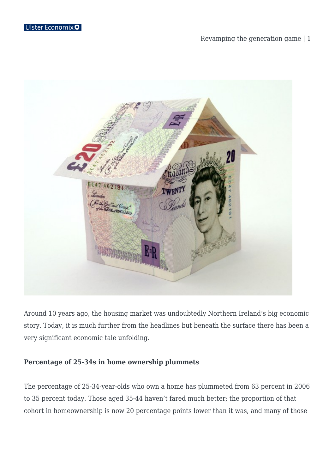### Revamping the generation game | 1



Around 10 years ago, the housing market was undoubtedly Northern Ireland's big economic story. Today, it is much further from the headlines but beneath the surface there has been a very significant economic tale unfolding.

#### **Percentage of 25-34s in home ownership plummets**

The percentage of 25-34-year-olds who own a home has plummeted from 63 percent in 2006 to 35 percent today. Those aged 35-44 haven't fared much better; the proportion of that cohort in homeownership is now 20 percentage points lower than it was, and many of those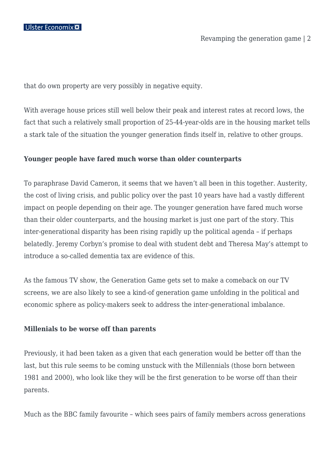that do own property are very possibly in negative equity.

With average house prices still well below their peak and interest rates at record lows, the fact that such a relatively small proportion of 25-44-year-olds are in the housing market tells a stark tale of the situation the younger generation finds itself in, relative to other groups.

# **Younger people have fared much worse than older counterparts**

To paraphrase David Cameron, it seems that we haven't all been in this together. Austerity, the cost of living crisis, and public policy over the past 10 years have had a vastly different impact on people depending on their age. The younger generation have fared much worse than their older counterparts, and the housing market is just one part of the story. This inter-generational disparity has been rising rapidly up the political agenda – if perhaps belatedly. Jeremy Corbyn's promise to deal with student debt and Theresa May's attempt to introduce a so-called dementia tax are evidence of this.

As the famous TV show, the Generation Game gets set to make a comeback on our TV screens, we are also likely to see a kind-of generation game unfolding in the political and economic sphere as policy-makers seek to address the inter-generational imbalance.

#### **Millenials to be worse off than parents**

Previously, it had been taken as a given that each generation would be better off than the last, but this rule seems to be coming unstuck with the Millennials (those born between 1981 and 2000), who look like they will be the first generation to be worse off than their parents.

Much as the BBC family favourite – which sees pairs of family members across generations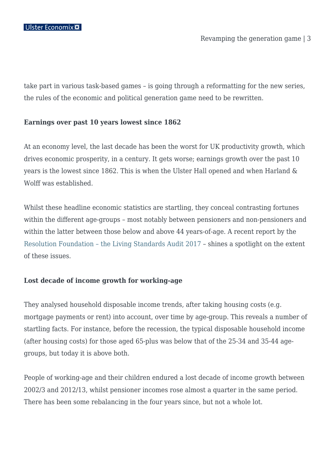take part in various task-based games – is going through a reformatting for the new series, the rules of the economic and political generation game need to be rewritten.

#### **Earnings over past 10 years lowest since 1862**

At an economy level, the last decade has been the worst for UK productivity growth, which drives economic prosperity, in a century. It gets worse; earnings growth over the past 10 years is the lowest since 1862. This is when the Ulster Hall opened and when Harland & Wolff was established.

Whilst these headline economic statistics are startling, they conceal contrasting fortunes within the different age-groups – most notably between pensioners and non-pensioners and within the latter between those below and above 44 years-of-age. A recent report by the [Resolution Foundation – the Living Standards Audit 2017](http://www.resolutionfoundation.org/publications/the-living-standards-audit-2017/) – shines a spotlight on the extent of these issues.

#### **Lost decade of income growth for working-age**

They analysed household disposable income trends, after taking housing costs (e.g. mortgage payments or rent) into account, over time by age-group. This reveals a number of startling facts. For instance, before the recession, the typical disposable household income (after housing costs) for those aged 65-plus was below that of the 25-34 and 35-44 agegroups, but today it is above both.

People of working-age and their children endured a lost decade of income growth between 2002/3 and 2012/13, whilst pensioner incomes rose almost a quarter in the same period. There has been some rebalancing in the four years since, but not a whole lot.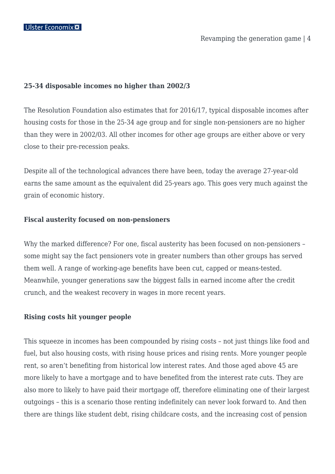Revamping the generation game | 4

# **25-34 disposable incomes no higher than 2002/3**

The Resolution Foundation also estimates that for 2016/17, typical disposable incomes after housing costs for those in the 25-34 age group and for single non-pensioners are no higher than they were in 2002/03. All other incomes for other age groups are either above or very close to their pre-recession peaks.

Despite all of the technological advances there have been, today the average 27-year-old earns the same amount as the equivalent did 25-years ago. This goes very much against the grain of economic history.

# **Fiscal austerity focused on non-pensioners**

Why the marked difference? For one, fiscal austerity has been focused on non-pensioners – some might say the fact pensioners vote in greater numbers than other groups has served them well. A range of working-age benefits have been cut, capped or means-tested. Meanwhile, younger generations saw the biggest falls in earned income after the credit crunch, and the weakest recovery in wages in more recent years.

# **Rising costs hit younger people**

This squeeze in incomes has been compounded by rising costs – not just things like food and fuel, but also housing costs, with rising house prices and rising rents. More younger people rent, so aren't benefiting from historical low interest rates. And those aged above 45 are more likely to have a mortgage and to have benefited from the interest rate cuts. They are also more to likely to have paid their mortgage off, therefore eliminating one of their largest outgoings – this is a scenario those renting indefinitely can never look forward to. And then there are things like student debt, rising childcare costs, and the increasing cost of pension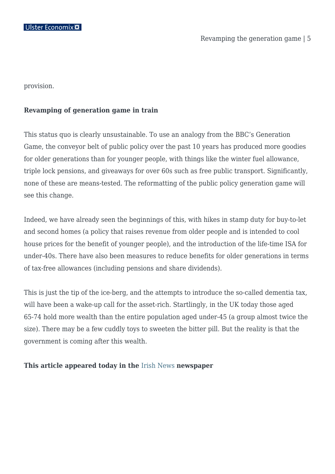provision.

# **Revamping of generation game in train**

This status quo is clearly unsustainable. To use an analogy from the BBC's Generation Game, the conveyor belt of public policy over the past 10 years has produced more goodies for older generations than for younger people, with things like the winter fuel allowance, triple lock pensions, and giveaways for over 60s such as free public transport. Significantly, none of these are means-tested. The reformatting of the public policy generation game will see this change.

Indeed, we have already seen the beginnings of this, with hikes in stamp duty for buy-to-let and second homes (a policy that raises revenue from older people and is intended to cool house prices for the benefit of younger people), and the introduction of the life-time ISA for under-40s. There have also been measures to reduce benefits for older generations in terms of tax-free allowances (including pensions and share dividends).

This is just the tip of the ice-berg, and the attempts to introduce the so-called dementia tax, will have been a wake-up call for the asset-rich. Startlingly, in the UK today those aged 65-74 hold more wealth than the entire population aged under-45 (a group almost twice the size). There may be a few cuddly toys to sweeten the bitter pill. But the reality is that the government is coming after this wealth.

#### **This article appeared today in the** [Irish News](http://www.irishnews.com/) **newspaper**